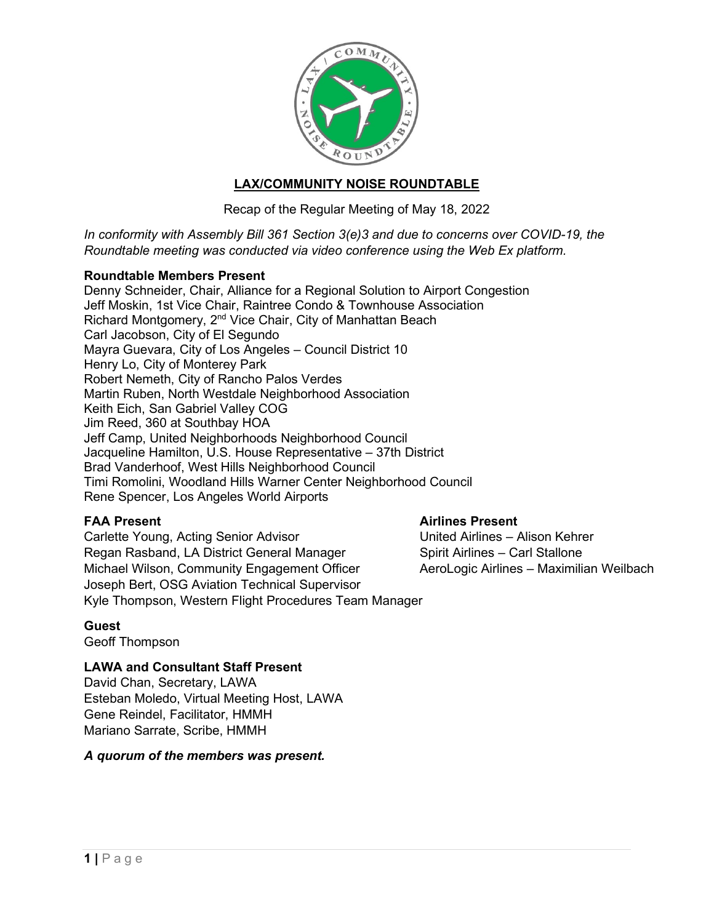

# **LAX/COMMUNITY NOISE ROUNDTABLE**

Recap of the Regular Meeting of May 18, 2022

*In conformity with Assembly Bill 361 Section 3(e)3 and due to concerns over COVID-19, the Roundtable meeting was conducted via video conference using the Web Ex platform.*

# **Roundtable Members Present**

Denny Schneider, Chair, Alliance for a Regional Solution to Airport Congestion Jeff Moskin, 1st Vice Chair, Raintree Condo & Townhouse Association Richard Montgomery, 2nd Vice Chair, City of Manhattan Beach Carl Jacobson, City of El Segundo Mayra Guevara, City of Los Angeles – Council District 10 Henry Lo, City of Monterey Park Robert Nemeth, City of Rancho Palos Verdes Martin Ruben, North Westdale Neighborhood Association Keith Eich, San Gabriel Valley COG Jim Reed, 360 at Southbay HOA Jeff Camp, United Neighborhoods Neighborhood Council Jacqueline Hamilton, U.S. House Representative – 37th District Brad Vanderhoof, West Hills Neighborhood Council Timi Romolini, Woodland Hills Warner Center Neighborhood Council Rene Spencer, Los Angeles World Airports

**FAA Present Airlines Present** Carlette Young, Acting Senior Advisor Regan Rasband, LA District General Manager Spirit Airlines – Carl Stallone Michael Wilson, Community Engagement Officer AeroLogic Airlines – Maximilian Weilbach Joseph Bert, OSG Aviation Technical Supervisor Kyle Thompson, Western Flight Procedures Team Manager

# **Guest**

Geoff Thompson

# **LAWA and Consultant Staff Present**

David Chan, Secretary, LAWA Esteban Moledo, Virtual Meeting Host, LAWA Gene Reindel, Facilitator, HMMH Mariano Sarrate, Scribe, HMMH

*A quorum of the members was present.*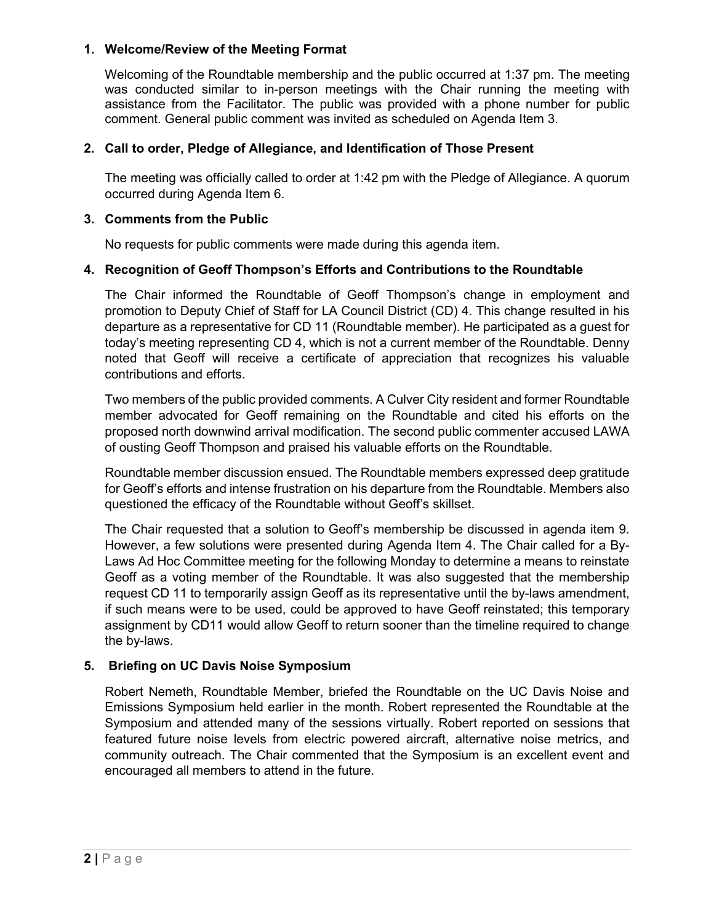### **1. Welcome/Review of the Meeting Format**

Welcoming of the Roundtable membership and the public occurred at 1:37 pm. The meeting was conducted similar to in-person meetings with the Chair running the meeting with assistance from the Facilitator. The public was provided with a phone number for public comment. General public comment was invited as scheduled on Agenda Item 3.

# **2. Call to order, Pledge of Allegiance, and Identification of Those Present**

The meeting was officially called to order at 1:42 pm with the Pledge of Allegiance. A quorum occurred during Agenda Item 6.

#### **3. Comments from the Public**

No requests for public comments were made during this agenda item.

### **4. Recognition of Geoff Thompson's Efforts and Contributions to the Roundtable**

The Chair informed the Roundtable of Geoff Thompson's change in employment and promotion to Deputy Chief of Staff for LA Council District (CD) 4. This change resulted in his departure as a representative for CD 11 (Roundtable member). He participated as a guest for today's meeting representing CD 4, which is not a current member of the Roundtable. Denny noted that Geoff will receive a certificate of appreciation that recognizes his valuable contributions and efforts.

Two members of the public provided comments. A Culver City resident and former Roundtable member advocated for Geoff remaining on the Roundtable and cited his efforts on the proposed north downwind arrival modification. The second public commenter accused LAWA of ousting Geoff Thompson and praised his valuable efforts on the Roundtable.

Roundtable member discussion ensued. The Roundtable members expressed deep gratitude for Geoff's efforts and intense frustration on his departure from the Roundtable. Members also questioned the efficacy of the Roundtable without Geoff's skillset.

The Chair requested that a solution to Geoff's membership be discussed in agenda item 9. However, a few solutions were presented during Agenda Item 4. The Chair called for a By-Laws Ad Hoc Committee meeting for the following Monday to determine a means to reinstate Geoff as a voting member of the Roundtable. It was also suggested that the membership request CD 11 to temporarily assign Geoff as its representative until the by-laws amendment, if such means were to be used, could be approved to have Geoff reinstated; this temporary assignment by CD11 would allow Geoff to return sooner than the timeline required to change the by-laws.

# **5. Briefing on UC Davis Noise Symposium**

Robert Nemeth, Roundtable Member, briefed the Roundtable on the UC Davis Noise and Emissions Symposium held earlier in the month. Robert represented the Roundtable at the Symposium and attended many of the sessions virtually. Robert reported on sessions that featured future noise levels from electric powered aircraft, alternative noise metrics, and community outreach. The Chair commented that the Symposium is an excellent event and encouraged all members to attend in the future.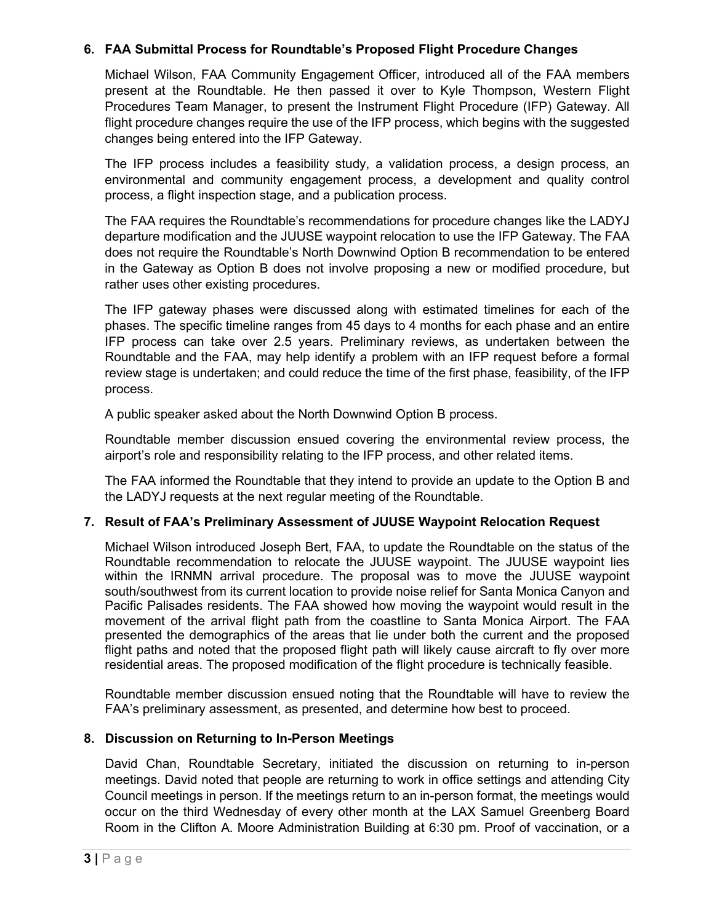# **6. FAA Submittal Process for Roundtable's Proposed Flight Procedure Changes**

Michael Wilson, FAA Community Engagement Officer, introduced all of the FAA members present at the Roundtable. He then passed it over to Kyle Thompson, Western Flight Procedures Team Manager, to present the Instrument Flight Procedure (IFP) Gateway. All flight procedure changes require the use of the IFP process, which begins with the suggested changes being entered into the IFP Gateway.

The IFP process includes a feasibility study, a validation process, a design process, an environmental and community engagement process, a development and quality control process, a flight inspection stage, and a publication process.

The FAA requires the Roundtable's recommendations for procedure changes like the LADYJ departure modification and the JUUSE waypoint relocation to use the IFP Gateway. The FAA does not require the Roundtable's North Downwind Option B recommendation to be entered in the Gateway as Option B does not involve proposing a new or modified procedure, but rather uses other existing procedures.

The IFP gateway phases were discussed along with estimated timelines for each of the phases. The specific timeline ranges from 45 days to 4 months for each phase and an entire IFP process can take over 2.5 years. Preliminary reviews, as undertaken between the Roundtable and the FAA, may help identify a problem with an IFP request before a formal review stage is undertaken; and could reduce the time of the first phase, feasibility, of the IFP process.

A public speaker asked about the North Downwind Option B process.

Roundtable member discussion ensued covering the environmental review process, the airport's role and responsibility relating to the IFP process, and other related items.

The FAA informed the Roundtable that they intend to provide an update to the Option B and the LADYJ requests at the next regular meeting of the Roundtable.

# **7. Result of FAA's Preliminary Assessment of JUUSE Waypoint Relocation Request**

Michael Wilson introduced Joseph Bert, FAA, to update the Roundtable on the status of the Roundtable recommendation to relocate the JUUSE waypoint. The JUUSE waypoint lies within the IRNMN arrival procedure. The proposal was to move the JUUSE waypoint south/southwest from its current location to provide noise relief for Santa Monica Canyon and Pacific Palisades residents. The FAA showed how moving the waypoint would result in the movement of the arrival flight path from the coastline to Santa Monica Airport. The FAA presented the demographics of the areas that lie under both the current and the proposed flight paths and noted that the proposed flight path will likely cause aircraft to fly over more residential areas. The proposed modification of the flight procedure is technically feasible.

Roundtable member discussion ensued noting that the Roundtable will have to review the FAA's preliminary assessment, as presented, and determine how best to proceed.

# **8. Discussion on Returning to In-Person Meetings**

David Chan, Roundtable Secretary, initiated the discussion on returning to in-person meetings. David noted that people are returning to work in office settings and attending City Council meetings in person. If the meetings return to an in-person format, the meetings would occur on the third Wednesday of every other month at the LAX Samuel Greenberg Board Room in the Clifton A. Moore Administration Building at 6:30 pm. Proof of vaccination, or a